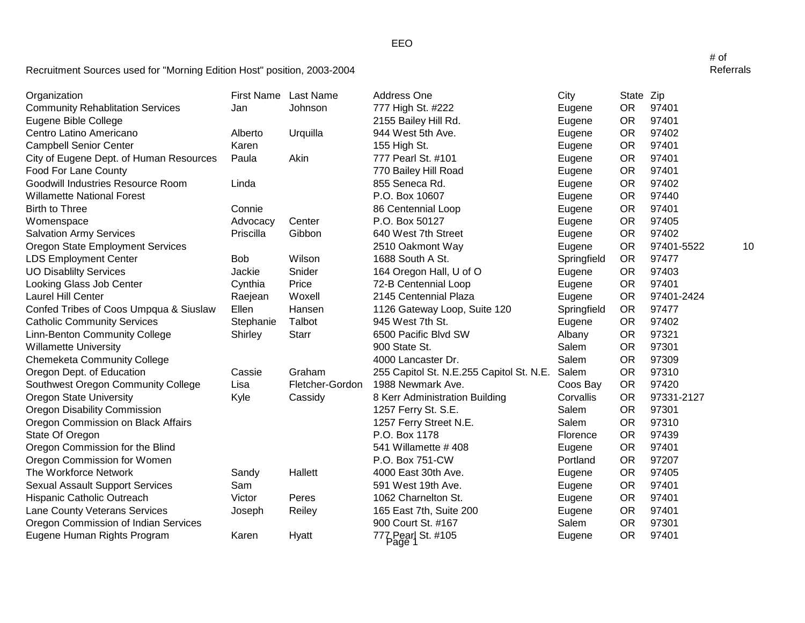| Organization                            |            | First Name Last Name | Address One                              | City        | State Zip |            |    |
|-----------------------------------------|------------|----------------------|------------------------------------------|-------------|-----------|------------|----|
| <b>Community Rehablitation Services</b> | Jan        | Johnson              | 777 High St. #222                        | Eugene      | <b>OR</b> | 97401      |    |
| Eugene Bible College                    |            |                      | 2155 Bailey Hill Rd.                     | Eugene      | <b>OR</b> | 97401      |    |
| Centro Latino Americano                 | Alberto    | Urquilla             | 944 West 5th Ave.                        | Eugene      | <b>OR</b> | 97402      |    |
| <b>Campbell Senior Center</b>           | Karen      |                      | 155 High St.                             | Eugene      | <b>OR</b> | 97401      |    |
| City of Eugene Dept. of Human Resources | Paula      | Akin                 | 777 Pearl St. #101                       | Eugene      | <b>OR</b> | 97401      |    |
| Food For Lane County                    |            |                      | 770 Bailey Hill Road                     | Eugene      | <b>OR</b> | 97401      |    |
| Goodwill Industries Resource Room       | Linda      |                      | 855 Seneca Rd.                           | Eugene      | <b>OR</b> | 97402      |    |
| <b>Willamette National Forest</b>       |            |                      | P.O. Box 10607                           | Eugene      | <b>OR</b> | 97440      |    |
| <b>Birth to Three</b>                   | Connie     |                      | 86 Centennial Loop                       | Eugene      | <b>OR</b> | 97401      |    |
| Womenspace                              | Advocacy   | Center               | P.O. Box 50127                           | Eugene      | <b>OR</b> | 97405      |    |
| <b>Salvation Army Services</b>          | Priscilla  | Gibbon               | 640 West 7th Street                      | Eugene      | <b>OR</b> | 97402      |    |
| Oregon State Employment Services        |            |                      | 2510 Oakmont Way                         | Eugene      | <b>OR</b> | 97401-5522 | 10 |
| <b>LDS Employment Center</b>            | <b>Bob</b> | Wilson               | 1688 South A St.                         | Springfield | <b>OR</b> | 97477      |    |
| <b>UO Disablilty Services</b>           | Jackie     | Snider               | 164 Oregon Hall, U of O                  | Eugene      | <b>OR</b> | 97403      |    |
| Looking Glass Job Center                | Cynthia    | Price                | 72-B Centennial Loop                     | Eugene      | <b>OR</b> | 97401      |    |
| Laurel Hill Center                      | Raejean    | Woxell               | 2145 Centennial Plaza                    | Eugene      | <b>OR</b> | 97401-2424 |    |
| Confed Tribes of Coos Umpqua & Siuslaw  | Ellen      | Hansen               | 1126 Gateway Loop, Suite 120             | Springfield | <b>OR</b> | 97477      |    |
| <b>Catholic Community Services</b>      | Stephanie  | Talbot               | 945 West 7th St.                         | Eugene      | <b>OR</b> | 97402      |    |
| Linn-Benton Community College           | Shirley    | <b>Starr</b>         | 6500 Pacific Blvd SW                     | Albany      | <b>OR</b> | 97321      |    |
| <b>Willamette University</b>            |            |                      | 900 State St.                            | Salem       | <b>OR</b> | 97301      |    |
| <b>Chemeketa Community College</b>      |            |                      | 4000 Lancaster Dr.                       | Salem       | <b>OR</b> | 97309      |    |
| Oregon Dept. of Education               | Cassie     | Graham               | 255 Capitol St. N.E.255 Capitol St. N.E. | Salem       | <b>OR</b> | 97310      |    |
| Southwest Oregon Community College      | Lisa       | Fletcher-Gordon      | 1988 Newmark Ave.                        | Coos Bay    | <b>OR</b> | 97420      |    |
| <b>Oregon State University</b>          | Kyle       | Cassidy              | 8 Kerr Administration Building           | Corvallis   | <b>OR</b> | 97331-2127 |    |
| <b>Oregon Disability Commission</b>     |            |                      | 1257 Ferry St. S.E.                      | Salem       | <b>OR</b> | 97301      |    |
| Oregon Commission on Black Affairs      |            |                      | 1257 Ferry Street N.E.                   | Salem       | <b>OR</b> | 97310      |    |
| State Of Oregon                         |            |                      | P.O. Box 1178                            | Florence    | <b>OR</b> | 97439      |    |
| Oregon Commission for the Blind         |            |                      | 541 Willamette #408                      | Eugene      | <b>OR</b> | 97401      |    |
| Oregon Commission for Women             |            |                      | P.O. Box 751-CW                          | Portland    | <b>OR</b> | 97207      |    |
| The Workforce Network                   | Sandy      | Hallett              | 4000 East 30th Ave.                      | Eugene      | <b>OR</b> | 97405      |    |
| <b>Sexual Assault Support Services</b>  | Sam        |                      | 591 West 19th Ave.                       | Eugene      | <b>OR</b> | 97401      |    |
| Hispanic Catholic Outreach              | Victor     | Peres                | 1062 Charnelton St.                      | Eugene      | <b>OR</b> | 97401      |    |
| Lane County Veterans Services           | Joseph     | Reiley               | 165 East 7th, Suite 200                  | Eugene      | <b>OR</b> | 97401      |    |
| Oregon Commission of Indian Services    |            |                      | 900 Court St. #167                       | Salem       | <b>OR</b> | 97301      |    |
| Eugene Human Rights Program             | Karen      | Hyatt                | 777 Pearl St. #105                       | Eugene      | <b>OR</b> | 97401      |    |